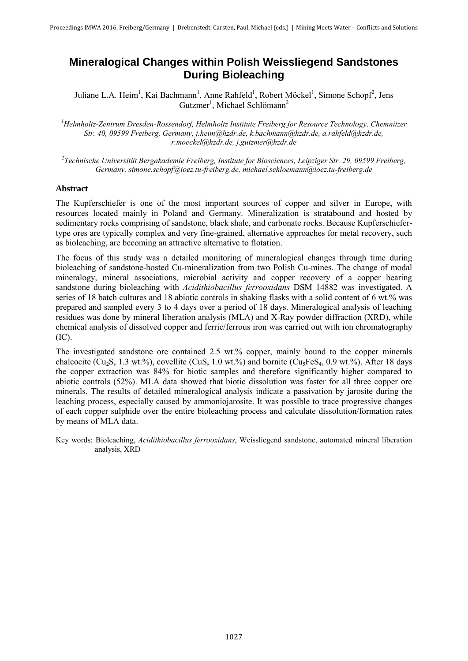# **Mineralogical Changes within Polish Weissliegend Sandstones During Bioleaching**

Juliane L.A. Heim<sup>1</sup>, Kai Bachmann<sup>1</sup>, Anne Rahfeld<sup>1</sup>, Robert Möckel<sup>1</sup>, Simone Schopf<sup>2</sup>, Jens Gutzmer<sup>1</sup>, Michael Schlömann<sup>2</sup>

*<sup>1</sup>Helmholtz-Zentrum Dresden-Rossendorf, Helmholtz Institute Freiberg for Resource Technology, Chemnitzer Str. 40, 09599 Freiberg, Germany, j.heim@hzdr.de, k.bachmann@hzdr.de, a.rahfeld@hzdr.de, r.moeckel@hzdr.de, j.gutzmer@hzdr.de* 

*2 Technische Universität Bergakademie Freiberg, Institute for Biosciences, Leipziger Str. 29, 09599 Freiberg, Germany, simone.schopf@ioez.tu-freiberg.de, michael.schloemann@ioez.tu-freiberg.de* 

## **Abstract**

The Kupferschiefer is one of the most important sources of copper and silver in Europe, with resources located mainly in Poland and Germany. Mineralization is stratabound and hosted by sedimentary rocks comprising of sandstone, black shale, and carbonate rocks. Because Kupferschiefertype ores are typically complex and very fine-grained, alternative approaches for metal recovery, such as bioleaching, are becoming an attractive alternative to flotation.

The focus of this study was a detailed monitoring of mineralogical changes through time during bioleaching of sandstone-hosted Cu-mineralization from two Polish Cu-mines. The change of modal mineralogy, mineral associations, microbial activity and copper recovery of a copper bearing sandstone during bioleaching with *Acidithiobacillus ferrooxidans* DSM 14882 was investigated. A series of 18 batch cultures and 18 abiotic controls in shaking flasks with a solid content of 6 wt.% was prepared and sampled every 3 to 4 days over a period of 18 days. Mineralogical analysis of leaching residues was done by mineral liberation analysis (MLA) and X-Ray powder diffraction (XRD), while chemical analysis of dissolved copper and ferric/ferrous iron was carried out with ion chromatography (IC).

The investigated sandstone ore contained 2.5 wt.% copper, mainly bound to the copper minerals chalcocite (Cu<sub>2</sub>S, 1.3 wt.%), covellite (CuS, 1.0 wt.%) and bornite (Cu<sub>3</sub>FeS<sub>4</sub>, 0.9 wt.%). After 18 days the copper extraction was 84% for biotic samples and therefore significantly higher compared to abiotic controls (52%). MLA data showed that biotic dissolution was faster for all three copper ore minerals. The results of detailed mineralogical analysis indicate a passivation by jarosite during the leaching process, especially caused by ammoniojarosite. It was possible to trace progressive changes of each copper sulphide over the entire bioleaching process and calculate dissolution/formation rates by means of MLA data.

Key words: Bioleaching, *Acidithiobacillus ferrooxidans*, Weissliegend sandstone, automated mineral liberation analysis, XRD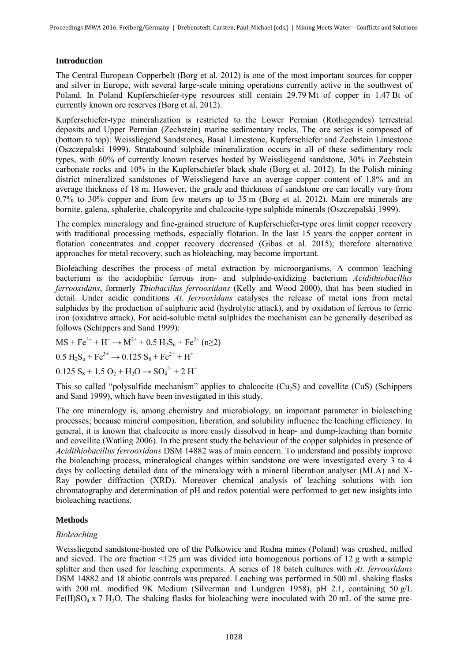## **Introduction**

The Central European Copperbelt (Borg et al. 2012) is one of the most important sources for copper and silver in Europe, with several large-scale mining operations currently active in the southwest of Poland. In Poland Kupferschiefer-type resources still contain 29.79 Mt of copper in 1.47 Bt of currently known ore reserves (Borg et al. 2012).

Kupferschiefer-type mineralization is restricted to the Lower Permian (Rotliegendes) terrestrial deposits and Upper Permian (Zechstein) marine sedimentary rocks. The ore series is composed of (bottom to top): Weissliegend Sandstones, Basal Limestone, Kupferschiefer and Zechstein Limestone (Oszczepalski 1999). Stratabound sulphide mineralization occurs in all of these sedimentary rock types, with 60% of currently known reserves hosted by Weissliegend sandstone, 30% in Zechstein carbonate rocks and 10% in the Kupferschiefer black shale (Borg et al. 2012). In the Polish mining district mineralized sandstones of Weissliegend have an average copper content of 1.8% and an average thickness of 18 m. However, the grade and thickness of sandstone ore can locally vary from 0.7% to 30% copper and from few meters up to 35 m (Borg et al. 2012). Main ore minerals are bornite, galena, sphalerite, chalcopyrite and chalcocite-type sulphide minerals (Oszczepalski 1999).

The complex mineralogy and fine-grained structure of Kupferschiefer-type ores limit copper recovery with traditional processing methods, especially flotation. In the last 15 years the copper content in flotation concentrates and copper recovery decreased (Gibas et al. 2015); therefore alternative approaches for metal recovery, such as bioleaching, may become important.

Bioleaching describes the process of metal extraction by microorganisms. A common leaching bacterium is the acidophilic ferrous iron- and sulphide-oxidizing bacterium *Acidithiobacillus ferrooxidans*, formerly *Thiobacillus ferrooxidans* (Kelly and Wood 2000), that has been studied in detail. Under acidic conditions *At. ferrooxidans* catalyses the release of metal ions from metal sulphides by the production of sulphuric acid (hydrolytic attack), and by oxidation of ferrous to ferric iron (oxidative attack). For acid-soluble metal sulphides the mechanism can be generally described as follows (Schippers and Sand 1999):

 $MS + Fe^{3+} + H^+ \rightarrow M^{2+} + 0.5 H_2S_n + Fe^{2+} (n \geq 2)$ 

 $0.5 H<sub>2</sub>S<sub>n</sub> + Fe<sup>3+</sup> \rightarrow 0.125 S<sub>8</sub> + Fe<sup>2+</sup> + H<sup>+</sup>$ 

 $0.125 S_8 + 1.5 O_2 + H_2O \rightarrow SO_4^{2} + 2 H^+$ 

This so called "polysulfide mechanism" applies to chalcocite (Cu2S) and covellite (CuS) (Schippers and Sand 1999), which have been investigated in this study.

The ore mineralogy is, among chemistry and microbiology, an important parameter in bioleaching processes; because mineral composition, liberation, and solubility influence the leaching efficiency. In general, it is known that chalcocite is more easily dissolved in heap- and dump-leaching than bornite and covellite (Watling 2006). In the present study the behaviour of the copper sulphides in presence of *Acidithiobacillus ferrooxidans* DSM 14882 was of main concern. To understand and possibly improve the bioleaching process, mineralogical changes within sandstone ore were investigated every 3 to 4 days by collecting detailed data of the mineralogy with a mineral liberation analyser (MLA) and X-Ray powder diffraction (XRD). Moreover chemical analysis of leaching solutions with ion chromatography and determination of pH and redox potential were performed to get new insights into bioleaching reactions.

# **Methods**

# *Bioleaching*

Weissliegend sandstone-hosted ore of the Polkowice and Rudna mines (Poland) was crushed, milled and sieved. The ore fraction <125 µm was divided into homogenous portions of 12 g with a sample splitter and then used for leaching experiments. A series of 18 batch cultures with *At. ferrooxidans* DSM 14882 and 18 abiotic controls was prepared. Leaching was performed in 500 mL shaking flasks with 200 mL modified 9K Medium (Silverman and Lundgren 1958), pH 2.1, containing 50 g/L Fe(II)SO<sub>4</sub> x 7 H<sub>2</sub>O. The shaking flasks for bioleaching were inoculated with 20 mL of the same pre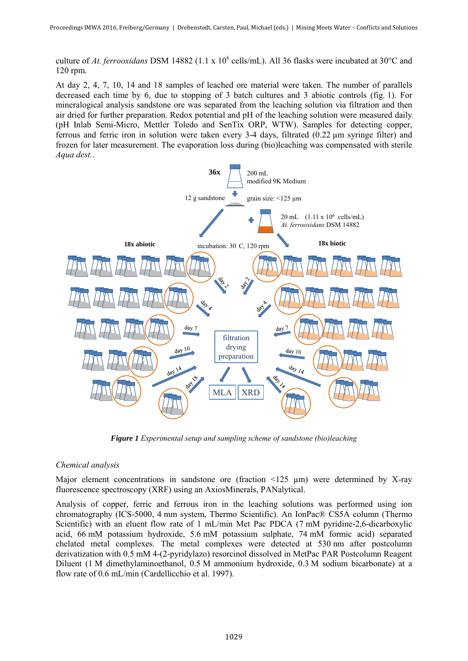culture of At. ferrooxidans DSM 14882 (1.1 x 10<sup>6</sup> cells/mL). All 36 flasks were incubated at 30°C and 120 rpm.

At day 2, 4, 7, 10, 14 and 18 samples of leached ore material were taken. The number of parallels decreased each time by 6, due to stopping of 3 batch cultures and 3 abiotic controls (fig. 1). For mineralogical analysis sandstone ore was separated from the leaching solution via filtration and then air dried for further preparation. Redox potential and pH of the leaching solution were measured daily (pH Inlab Semi-Micro, Mettler Toledo and SenTix ORP, WTW). Samples for detecting copper, ferrous and ferric iron in solution were taken every 3-4 days, filtrated (0.22 µm syringe filter) and frozen for later measurement. The evaporation loss during (bio)leaching was compensated with sterile *Aqua dest.*.



*Figure 1 Experimental setup and sampling scheme of sandstone (bio)leaching* 

# *Chemical analysis*

Major element concentrations in sandstone ore (fraction  $\leq 125 \mu m$ ) were determined by X-ray fluorescence spectroscopy (XRF) using an AxiosMinerals, PANalytical.

Analysis of copper, ferric and ferrous iron in the leaching solutions was performed using ion chromatography (ICS-5000, 4 mm system, Thermo Scientific). An IonPac® CS5A column (Thermo Scientific) with an eluent flow rate of 1 mL/min Met Pac PDCA (7 mM pyridine-2,6-dicarboxylic acid, 66 mM potassium hydroxide, 5.6 mM potassium sulphate, 74 mM formic acid) separated chelated metal complexes. The metal complexes were detected at 530 nm after postcolumn derivatization with 0.5 mM 4-(2-pyridylazo) resorcinol dissolved in MetPac PAR Postcolumn Reagent Diluent (1 M dimethylaminoethanol, 0.5 M ammonium hydroxide, 0.3 M sodium bicarbonate) at a flow rate of 0.6 mL/min (Cardellicchio et al. 1997).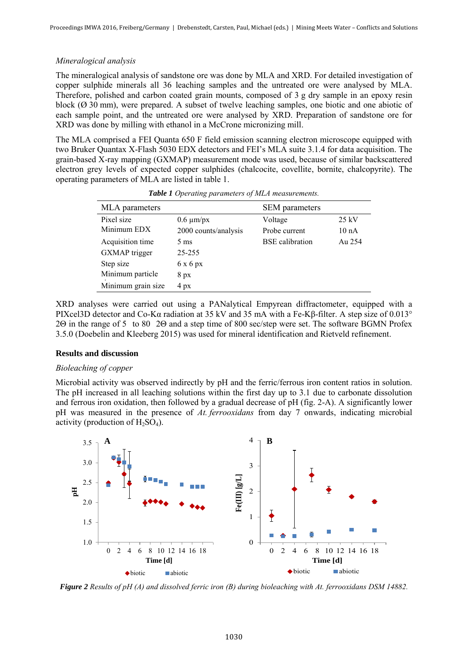## *Mineralogical analysis*

The mineralogical analysis of sandstone ore was done by MLA and XRD. For detailed investigation of copper sulphide minerals all 36 leaching samples and the untreated ore were analysed by MLA. Therefore, polished and carbon coated grain mounts, composed of 3 g dry sample in an epoxy resin block (Ø 30 mm), were prepared. A subset of twelve leaching samples, one biotic and one abiotic of each sample point, and the untreated ore were analysed by XRD. Preparation of sandstone ore for XRD was done by milling with ethanol in a McCrone micronizing mill.

The MLA comprised a FEI Quanta 650 F field emission scanning electron microscope equipped with two Bruker Quantax X-Flash 5030 EDX detectors and FEI's MLA suite 3.1.4 for data acquisition. The grain-based X-ray mapping (GXMAP) measurement mode was used, because of similar backscattered electron grey levels of expected copper sulphides (chalcocite, covellite, bornite, chalcopyrite). The operating parameters of MLA are listed in table 1.

| MLA parameters     |                      | <b>SEM</b> parameters  |                  |
|--------------------|----------------------|------------------------|------------------|
| Pixel size         | $0.6 \mu m/px$       | Voltage                | $25 \text{ kV}$  |
| Minimum EDX        | 2000 counts/analysis | Probe current          | 10 <sub>nA</sub> |
| Acquisition time   | $5 \text{ ms}$       | <b>BSE</b> calibration | Au 254           |
| GXMAP trigger      | 25-255               |                        |                  |
| Step size          | 6x6px                |                        |                  |
| Minimum particle   | $8\ \text{px}$       |                        |                  |
| Minimum grain size | $4\ \text{px}$       |                        |                  |

*Table 1 Operating parameters of MLA measurements.* 

XRD analyses were carried out using a PANalytical Empyrean diffractometer, equipped with a PIXcel3D detector and Co-Kα radiation at 35 kV and 35 mA with a Fe-Kβ-filter. A step size of 0.013° 2Θ in the range of 5 to 80 2Θ and a step time of 800 sec/step were set. The software BGMN Profex 3.5.0 (Doebelin and Kleeberg 2015) was used for mineral identification and Rietveld refinement.

## **Results and discussion**

## *Bioleaching of copper*

Microbial activity was observed indirectly by pH and the ferric/ferrous iron content ratios in solution. The pH increased in all leaching solutions within the first day up to 3.1 due to carbonate dissolution and ferrous iron oxidation, then followed by a gradual decrease of pH (fig. 2-A). A significantly lower pH was measured in the presence of *At. ferrooxidans* from day 7 onwards, indicating microbial activity (production of  $H_2SO_4$ ).



*Figure 2 Results of pH (A) and dissolved ferric iron (B) during bioleaching with At. ferrooxidans DSM 14882.*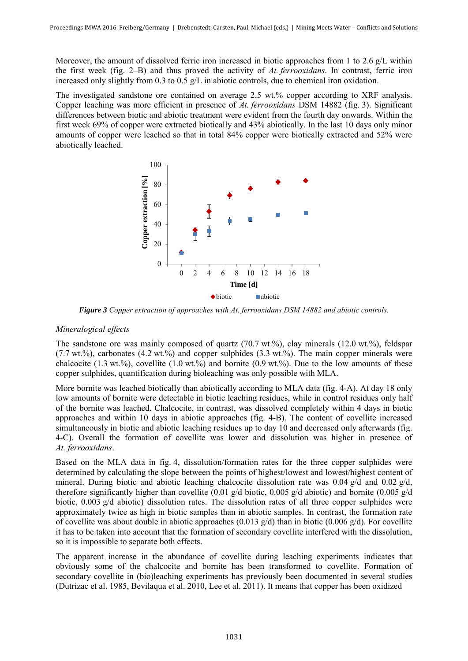Moreover, the amount of dissolved ferric iron increased in biotic approaches from 1 to 2.6 g/L within the first week (fig. 2–B) and thus proved the activity of *At. ferrooxidans*. In contrast, ferric iron increased only slightly from 0.3 to 0.5 g/L in abiotic controls, due to chemical iron oxidation.

The investigated sandstone ore contained on average 2.5 wt.% copper according to XRF analysis. Copper leaching was more efficient in presence of *At. ferrooxidans* DSM 14882 (fig. 3). Significant differences between biotic and abiotic treatment were evident from the fourth day onwards. Within the first week 69% of copper were extracted biotically and 43% abiotically. In the last 10 days only minor amounts of copper were leached so that in total 84% copper were biotically extracted and 52% were abiotically leached.



*Figure 3 Copper extraction of approaches with At. ferrooxidans DSM 14882 and abiotic controls.* 

# *Mineralogical effects*

The sandstone ore was mainly composed of quartz  $(70.7 \text{ wt.}\%)$ , clay minerals  $(12.0 \text{ wt.}\%)$ , feldspar (7.7 wt.%), carbonates (4.2 wt.%) and copper sulphides (3.3 wt.%). The main copper minerals were chalcocite (1.3 wt.%), covellite (1.0 wt.%) and bornite (0.9 wt.%). Due to the low amounts of these copper sulphides, quantification during bioleaching was only possible with MLA.

More bornite was leached biotically than abiotically according to MLA data (fig. 4-A). At day 18 only low amounts of bornite were detectable in biotic leaching residues, while in control residues only half of the bornite was leached. Chalcocite, in contrast, was dissolved completely within 4 days in biotic approaches and within 10 days in abiotic approaches (fig. 4-B). The content of covellite increased simultaneously in biotic and abiotic leaching residues up to day 10 and decreased only afterwards (fig. 4-C). Overall the formation of covellite was lower and dissolution was higher in presence of *At. ferrooxidans*.

Based on the MLA data in fig. 4, dissolution/formation rates for the three copper sulphides were determined by calculating the slope between the points of highest/lowest and lowest/highest content of mineral. During biotic and abiotic leaching chalcocite dissolution rate was  $0.04 \text{ g/d}$  and  $0.02 \text{ g/d}$ , therefore significantly higher than covellite (0.01 g/d biotic, 0.005 g/d abiotic) and bornite (0.005 g/d biotic, 0.003 g/d abiotic) dissolution rates. The dissolution rates of all three copper sulphides were approximately twice as high in biotic samples than in abiotic samples. In contrast, the formation rate of covellite was about double in abiotic approaches (0.013  $g/d$ ) than in biotic (0.006  $g/d$ ). For covellite it has to be taken into account that the formation of secondary covellite interfered with the dissolution, so it is impossible to separate both effects.

The apparent increase in the abundance of covellite during leaching experiments indicates that obviously some of the chalcocite and bornite has been transformed to covellite. Formation of secondary covellite in (bio)leaching experiments has previously been documented in several studies (Dutrizac et al. 1985, Bevilaqua et al. 2010, Lee et al. 2011). It means that copper has been oxidized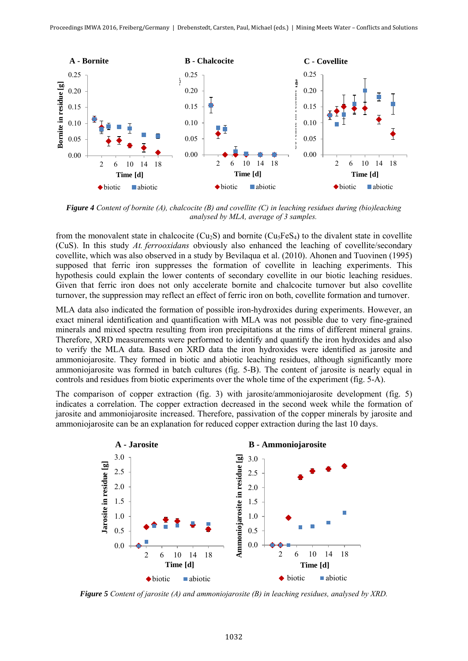

*Figure 4 Content of bornite (A), chalcocite (B) and covellite (C) in leaching residues during (bio)leaching analysed by MLA, average of 3 samples.* 

from the monovalent state in chalcocite ( $Cu<sub>2</sub>S$ ) and bornite ( $Cu<sub>3</sub>FeS<sub>4</sub>$ ) to the divalent state in covellite (CuS). In this study *At. ferrooxidans* obviously also enhanced the leaching of covellite/secondary covellite, which was also observed in a study by Bevilaqua et al. (2010). Ahonen and Tuovinen (1995) supposed that ferric iron suppresses the formation of covellite in leaching experiments. This hypothesis could explain the lower contents of secondary covellite in our biotic leaching residues. Given that ferric iron does not only accelerate bornite and chalcocite turnover but also covellite turnover, the suppression may reflect an effect of ferric iron on both, covellite formation and turnover.

MLA data also indicated the formation of possible iron-hydroxides during experiments. However, an exact mineral identification and quantification with MLA was not possible due to very fine-grained minerals and mixed spectra resulting from iron precipitations at the rims of different mineral grains. Therefore, XRD measurements were performed to identify and quantify the iron hydroxides and also to verify the MLA data. Based on XRD data the iron hydroxides were identified as jarosite and ammoniojarosite. They formed in biotic and abiotic leaching residues, although significantly more ammoniojarosite was formed in batch cultures (fig. 5-B). The content of jarosite is nearly equal in controls and residues from biotic experiments over the whole time of the experiment (fig. 5-A).

The comparison of copper extraction (fig. 3) with jarosite/ammoniojarosite development (fig. 5) indicates a correlation. The copper extraction decreased in the second week while the formation of jarosite and ammoniojarosite increased. Therefore, passivation of the copper minerals by jarosite and ammoniojarosite can be an explanation for reduced copper extraction during the last 10 days.



*Figure 5 Content of jarosite (A) and ammoniojarosite (B) in leaching residues, analysed by XRD.*